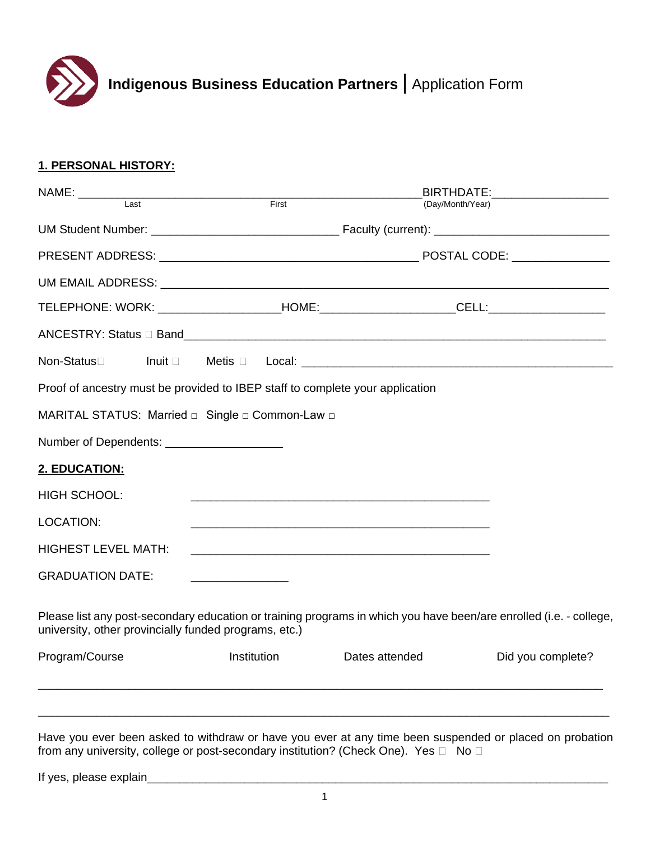

# **1. PERSONAL HISTORY:**

| NAME: ____________                                                            |             |       |                | BIRTHDATE:___________________                                                                                      |  |
|-------------------------------------------------------------------------------|-------------|-------|----------------|--------------------------------------------------------------------------------------------------------------------|--|
| $\overline{\phantom{0}}$ Last                                                 |             | First |                | (Day/Month/Year)                                                                                                   |  |
|                                                                               |             |       |                |                                                                                                                    |  |
|                                                                               |             |       |                |                                                                                                                    |  |
|                                                                               |             |       |                |                                                                                                                    |  |
|                                                                               |             |       |                |                                                                                                                    |  |
|                                                                               |             |       |                |                                                                                                                    |  |
| Non-Status□                                                                   |             |       |                |                                                                                                                    |  |
| Proof of ancestry must be provided to IBEP staff to complete your application |             |       |                |                                                                                                                    |  |
| MARITAL STATUS: Married a Single a Common-Law a                               |             |       |                |                                                                                                                    |  |
|                                                                               |             |       |                |                                                                                                                    |  |
| 2. EDUCATION:                                                                 |             |       |                |                                                                                                                    |  |
| <b>HIGH SCHOOL:</b>                                                           |             |       |                |                                                                                                                    |  |
| <b>LOCATION:</b>                                                              |             |       |                |                                                                                                                    |  |
| <b>HIGHEST LEVEL MATH:</b>                                                    |             |       |                |                                                                                                                    |  |
| <b>GRADUATION DATE:</b>                                                       |             |       |                |                                                                                                                    |  |
| university, other provincially funded programs, etc.)                         |             |       |                | Please list any post-secondary education or training programs in which you have been/are enrolled (i.e. - college, |  |
| Program/Course                                                                | Institution |       | Dates attended | Did you complete?                                                                                                  |  |
|                                                                               |             |       |                |                                                                                                                    |  |
|                                                                               |             |       |                |                                                                                                                    |  |

Have you ever been asked to withdraw or have you ever at any time been suspended or placed on probation from any university, college or post-secondary institution? (Check One). Yes  $\Box$  No  $\Box$ 

If yes, please explain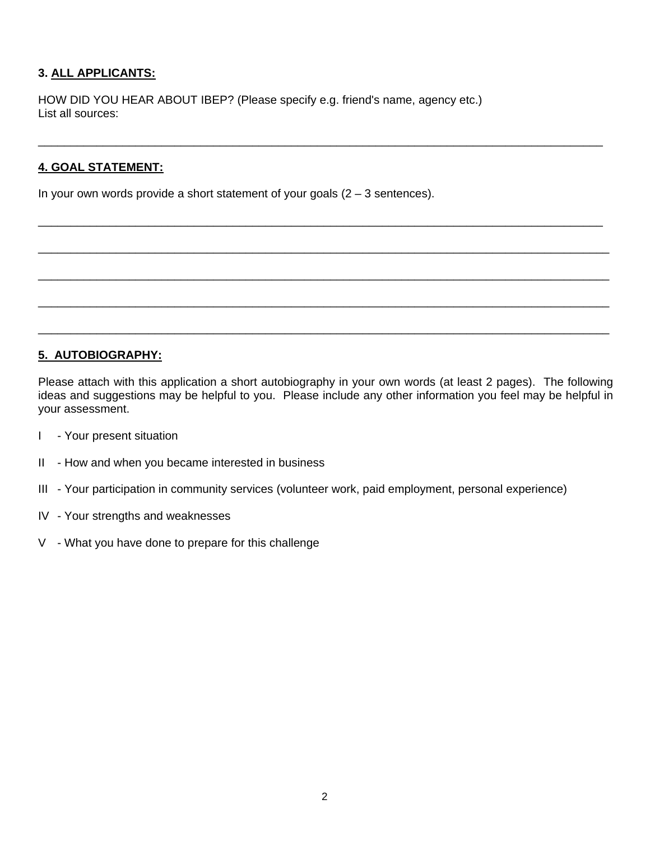# **3. ALL APPLICANTS:**

HOW DID YOU HEAR ABOUT IBEP? (Please specify e.g. friend's name, agency etc.) List all sources:

# **4. GOAL STATEMENT:**

In your own words provide a short statement of your goals  $(2 - 3$  sentences).

### **5. AUTOBIOGRAPHY:**

Please attach with this application a short autobiography in your own words (at least 2 pages). The following ideas and suggestions may be helpful to you. Please include any other information you feel may be helpful in your assessment.

\_\_\_\_\_\_\_\_\_\_\_\_\_\_\_\_\_\_\_\_\_\_\_\_\_\_\_\_\_\_\_\_\_\_\_\_\_\_\_\_\_\_\_\_\_\_\_\_\_\_\_\_\_\_\_\_\_\_\_\_\_\_\_\_\_\_\_\_\_\_\_\_\_\_\_\_\_\_\_\_\_\_\_\_\_\_\_

\_\_\_\_\_\_\_\_\_\_\_\_\_\_\_\_\_\_\_\_\_\_\_\_\_\_\_\_\_\_\_\_\_\_\_\_\_\_\_\_\_\_\_\_\_\_\_\_\_\_\_\_\_\_\_\_\_\_\_\_\_\_\_\_\_\_\_\_\_\_\_\_\_\_\_\_\_\_\_\_\_\_\_\_\_\_\_

\_\_\_\_\_\_\_\_\_\_\_\_\_\_\_\_\_\_\_\_\_\_\_\_\_\_\_\_\_\_\_\_\_\_\_\_\_\_\_\_\_\_\_\_\_\_\_\_\_\_\_\_\_\_\_\_\_\_\_\_\_\_\_\_\_\_\_\_\_\_\_\_\_\_\_\_\_\_\_\_\_\_\_\_\_\_\_\_

\_\_\_\_\_\_\_\_\_\_\_\_\_\_\_\_\_\_\_\_\_\_\_\_\_\_\_\_\_\_\_\_\_\_\_\_\_\_\_\_\_\_\_\_\_\_\_\_\_\_\_\_\_\_\_\_\_\_\_\_\_\_\_\_\_\_\_\_\_\_\_\_\_\_\_\_\_\_\_\_\_\_\_\_\_\_\_\_

\_\_\_\_\_\_\_\_\_\_\_\_\_\_\_\_\_\_\_\_\_\_\_\_\_\_\_\_\_\_\_\_\_\_\_\_\_\_\_\_\_\_\_\_\_\_\_\_\_\_\_\_\_\_\_\_\_\_\_\_\_\_\_\_\_\_\_\_\_\_\_\_\_\_\_\_\_\_\_\_\_\_\_\_\_\_\_\_

\_\_\_\_\_\_\_\_\_\_\_\_\_\_\_\_\_\_\_\_\_\_\_\_\_\_\_\_\_\_\_\_\_\_\_\_\_\_\_\_\_\_\_\_\_\_\_\_\_\_\_\_\_\_\_\_\_\_\_\_\_\_\_\_\_\_\_\_\_\_\_\_\_\_\_\_\_\_\_\_\_\_\_\_\_\_\_\_

- I Your present situation
- II How and when you became interested in business
- III Your participation in community services (volunteer work, paid employment, personal experience)
- IV Your strengths and weaknesses
- V What you have done to prepare for this challenge